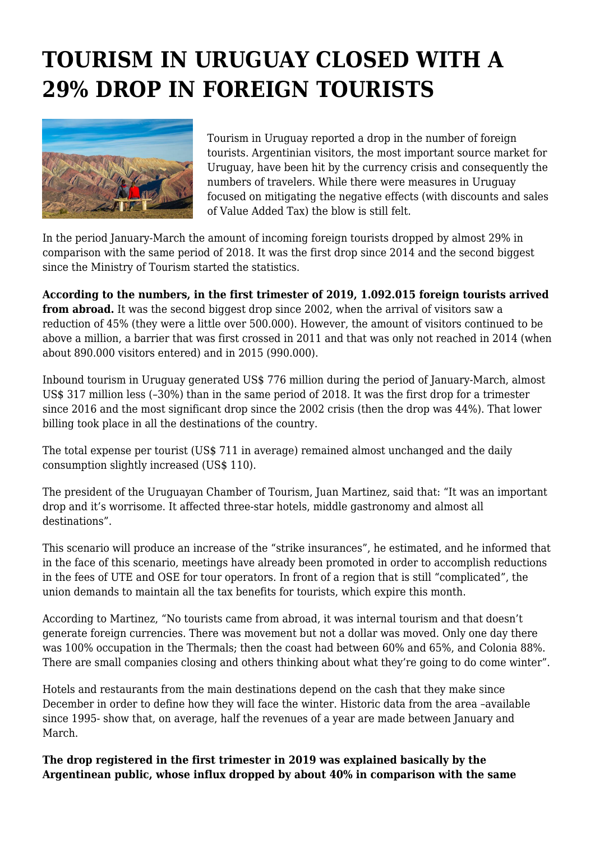## **TOURISM IN URUGUAY CLOSED WITH A 29% DROP IN FOREIGN TOURISTS**



Tourism in Uruguay reported a drop in the number of foreign tourists. Argentinian visitors, the most important source market for Uruguay, have been hit by the currency crisis and consequently the numbers of travelers. While there were measures in Uruguay focused on mitigating the negative effects (with discounts and sales of Value Added Tax) the blow is still felt.

In the period January-March the amount of incoming foreign tourists dropped by almost 29% in comparison with the same period of 2018. It was the first drop since 2014 and the second biggest since the Ministry of Tourism started the statistics.

**According to the numbers, in the first trimester of 2019, 1.092.015 foreign tourists arrived from abroad.** It was the second biggest drop since 2002, when the arrival of visitors saw a reduction of 45% (they were a little over 500.000). However, the amount of visitors continued to be above a million, a barrier that was first crossed in 2011 and that was only not reached in 2014 (when about 890.000 visitors entered) and in 2015 (990.000).

Inbound tourism in Uruguay generated US\$ 776 million during the period of January-March, almost US\$ 317 million less (–30%) than in the same period of 2018. It was the first drop for a trimester since 2016 and the most significant drop since the 2002 crisis (then the drop was 44%). That lower billing took place in all the destinations of the country.

The total expense per tourist (US\$ 711 in average) remained almost unchanged and the daily consumption slightly increased (US\$ 110).

The president of the Uruguayan Chamber of Tourism, Juan Martinez, said that: "It was an important drop and it's worrisome. It affected three-star hotels, middle gastronomy and almost all destinations".

This scenario will produce an increase of the "strike insurances", he estimated, and he informed that in the face of this scenario, meetings have already been promoted in order to accomplish reductions in the fees of UTE and OSE for tour operators. In front of a region that is still "complicated", the union demands to maintain all the tax benefits for tourists, which expire this month.

According to Martinez, "No tourists came from abroad, it was internal tourism and that doesn't generate foreign currencies. There was movement but not a dollar was moved. Only one day there was 100% occupation in the Thermals; then the coast had between 60% and 65%, and Colonia 88%. There are small companies closing and others thinking about what they're going to do come winter".

Hotels and restaurants from the main destinations depend on the cash that they make since December in order to define how they will face the winter. Historic data from the area –available since 1995- show that, on average, half the revenues of a year are made between January and March.

**The drop registered in the first trimester in 2019 was explained basically by the Argentinean public, whose influx dropped by about 40% in comparison with the same**